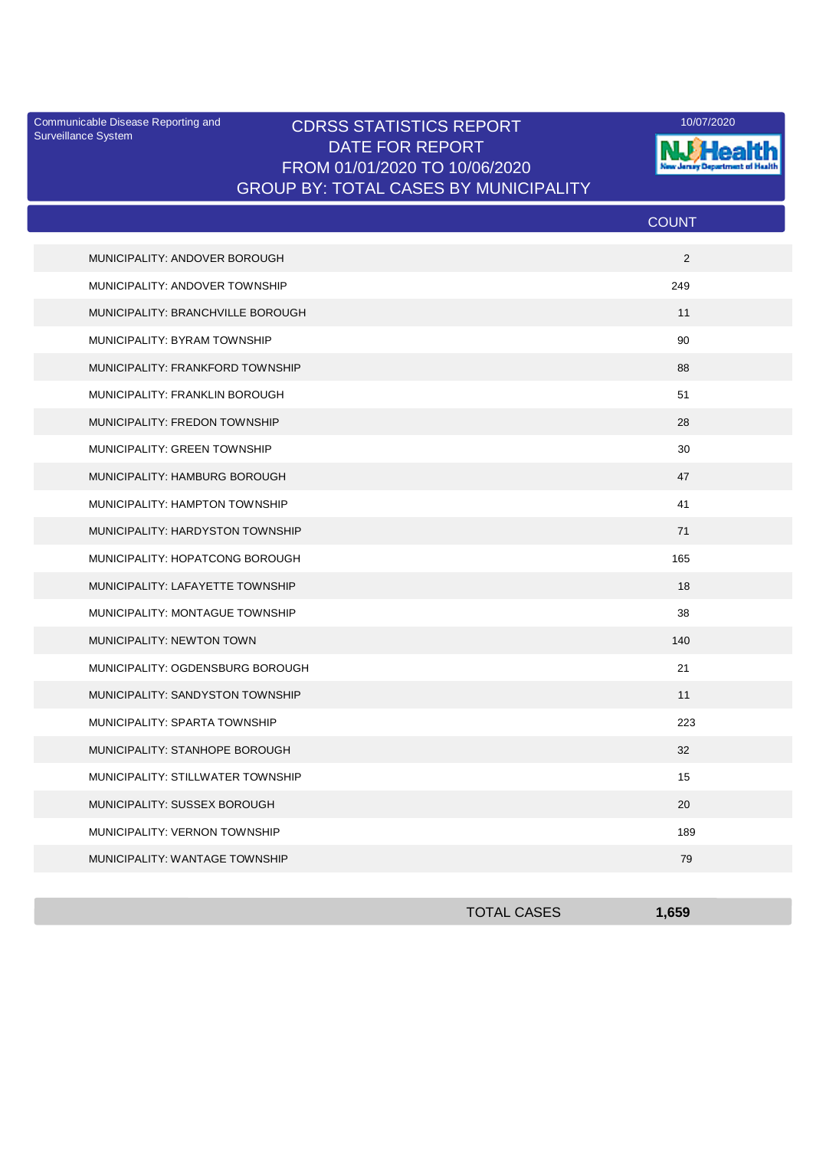Surveillance System

## Communicable Disease Reporting and **CDRSS STATISTICS REPORT** 10/07/2020<br>Surveillance Statem DATE FOR REPORT FROM 01/01/2020 TO 10/06/2020 GROUP BY: TOTAL CASES BY MUNICIPALITY



|                                   | <b>COUNT</b> |  |
|-----------------------------------|--------------|--|
| MUNICIPALITY: ANDOVER BOROUGH     | 2            |  |
| MUNICIPALITY: ANDOVER TOWNSHIP    | 249          |  |
| MUNICIPALITY: BRANCHVILLE BOROUGH | 11           |  |
| MUNICIPALITY: BYRAM TOWNSHIP      | 90           |  |
| MUNICIPALITY: FRANKFORD TOWNSHIP  | 88           |  |
| MUNICIPALITY: FRANKLIN BOROUGH    | 51           |  |
| MUNICIPALITY: FREDON TOWNSHIP     | 28           |  |
| MUNICIPALITY: GREEN TOWNSHIP      | 30           |  |
| MUNICIPALITY: HAMBURG BOROUGH     | 47           |  |
| MUNICIPALITY: HAMPTON TOWNSHIP    | 41           |  |
| MUNICIPALITY: HARDYSTON TOWNSHIP  | 71           |  |
| MUNICIPALITY: HOPATCONG BOROUGH   | 165          |  |
| MUNICIPALITY: LAFAYETTE TOWNSHIP  | 18           |  |
| MUNICIPALITY: MONTAGUE TOWNSHIP   | 38           |  |
| MUNICIPALITY: NEWTON TOWN         | 140          |  |
| MUNICIPALITY: OGDENSBURG BOROUGH  | 21           |  |
| MUNICIPALITY: SANDYSTON TOWNSHIP  | 11           |  |
| MUNICIPALITY: SPARTA TOWNSHIP     | 223          |  |
| MUNICIPALITY: STANHOPE BOROUGH    | 32           |  |
| MUNICIPALITY: STILLWATER TOWNSHIP | 15           |  |
| MUNICIPALITY: SUSSEX BOROUGH      | 20           |  |
| MUNICIPALITY: VERNON TOWNSHIP     | 189          |  |
| MUNICIPALITY: WANTAGE TOWNSHIP    | 79           |  |

| <b>TOTAL CASES</b> | 1,659 |
|--------------------|-------|
|                    |       |